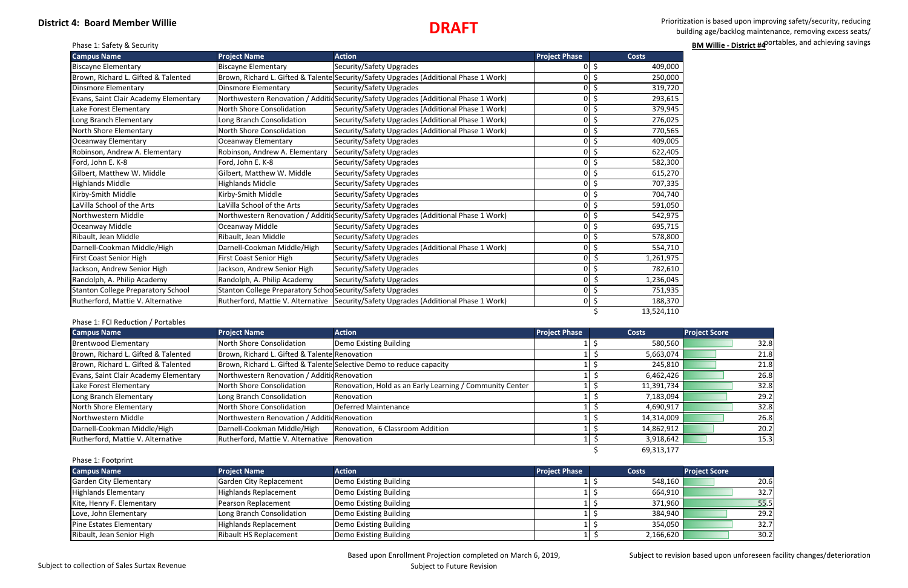## **District 4: Board Member Willie**

 Prioritization is based upon improving safety/security, reducing building age/backlog maintenance, removing excess seats/ phase 1: Safety & Security **BM Willie - District #4** portables, and achieving savings **BM Willie - District #4** portables, and achieving savings

# **DRAFT**

| <b>Campus Name</b>                        | <b>Project Name</b>                                        | <b>Action</b>                                                                          | <b>Project Phase</b> | <b>Costs</b>         |
|-------------------------------------------|------------------------------------------------------------|----------------------------------------------------------------------------------------|----------------------|----------------------|
| <b>Biscayne Elementary</b>                | <b>Biscayne Elementary</b>                                 | Security/Safety Upgrades                                                               | 0                    | \$<br>409,000        |
| Brown, Richard L. Gifted & Talented       |                                                            | Brown, Richard L. Gifted & Talente Security/Safety Upgrades (Additional Phase 1 Work)  | $\Omega$             | \$<br>250,000        |
| <b>Dinsmore Elementary</b>                | <b>Dinsmore Elementary</b>                                 | Security/Safety Upgrades                                                               | $\Omega$             | \$<br>319,720        |
| Evans, Saint Clair Academy Elementary     |                                                            | Northwestern Renovation / AdditidSecurity/Safety Upgrades (Additional Phase 1 Work)    | $\overline{0}$       | \$<br>293,615        |
| Lake Forest Elementary                    | North Shore Consolidation                                  | Security/Safety Upgrades (Additional Phase 1 Work)                                     | 0                    | \$<br>379,945        |
| Long Branch Elementary                    | Long Branch Consolidation                                  | Security/Safety Upgrades (Additional Phase 1 Work)                                     | $\overline{0}$       | \$<br>276,025        |
| North Shore Elementary                    | North Shore Consolidation                                  | Security/Safety Upgrades (Additional Phase 1 Work)                                     | $\overline{0}$       | \$<br>770,565        |
| Oceanway Elementary                       | <b>Oceanway Elementary</b>                                 | Security/Safety Upgrades                                                               | $\Omega$             | .S<br>409,005        |
| Robinson, Andrew A. Elementary            | Robinson, Andrew A. Elementary                             | Security/Safety Upgrades                                                               | $\Omega$             | \$<br>622,405        |
| Ford, John E. K-8                         | Ford, John E. K-8                                          | Security/Safety Upgrades                                                               | $\Omega$             | \$<br>582,300        |
| Gilbert, Matthew W. Middle                | Gilbert, Matthew W. Middle                                 | Security/Safety Upgrades                                                               | $\Omega$             | \$<br>615,270        |
| <b>Highlands Middle</b>                   | <b>Highlands Middle</b>                                    | Security/Safety Upgrades                                                               | 0                    | 707,335<br>Ŝ.        |
| Kirby-Smith Middle                        | Kirby-Smith Middle                                         | Security/Safety Upgrades                                                               | 0                    | \$<br>704,740        |
| LaVilla School of the Arts                | LaVilla School of the Arts                                 | Security/Safety Upgrades                                                               | 0                    | \$<br>591,050        |
| Northwestern Middle                       |                                                            | Northwestern Renovation / AdditidSecurity/Safety Upgrades (Additional Phase 1 Work)    | $\Omega$             | Ś<br>542,975         |
| Oceanway Middle                           | Oceanway Middle                                            | Security/Safety Upgrades                                                               | $\Omega$             | 'S<br>695,715        |
| Ribault, Jean Middle                      | Ribault, Jean Middle                                       | Security/Safety Upgrades                                                               | $\Omega$             | \$<br>578,800        |
| Darnell-Cookman Middle/High               | Darnell-Cookman Middle/High                                | Security/Safety Upgrades (Additional Phase 1 Work)                                     | $\Omega$             | $\zeta$<br>554,710   |
| First Coast Senior High                   | First Coast Senior High                                    | Security/Safety Upgrades                                                               | $\overline{0}$       | $\zeta$<br>1,261,975 |
| Jackson, Andrew Senior High               | Jackson, Andrew Senior High                                | Security/Safety Upgrades                                                               | $\Omega$             | \$<br>782,610        |
| Randolph, A. Philip Academy               | Randolph, A. Philip Academy                                | Security/Safety Upgrades                                                               | οI                   | \$<br>1,236,045      |
| <b>Stanton College Preparatory School</b> | Stanton College Preparatory Schoo Security/Safety Upgrades |                                                                                        | οI                   | \$<br>751,935        |
| Rutherford, Mattie V. Alternative         |                                                            | Rutherford, Mattie V. Alternative   Security/Safety Upgrades (Additional Phase 1 Work) | οI                   | $\zeta$<br>188,370   |
|                                           |                                                            |                                                                                        |                      | 13,524,110           |

### Phase 1: FCI Reduction / Portables

| <b>Campus Name</b>                    | <b>Project Name</b>                           | <b>Action</b>                                                        | <b>Project Phase</b> | Costs      | <b>Project Score</b> |
|---------------------------------------|-----------------------------------------------|----------------------------------------------------------------------|----------------------|------------|----------------------|
| Brentwood Elementary                  | North Shore Consolidation                     | Demo Existing Building                                               |                      | 580,560    | 32.8                 |
| Brown, Richard L. Gifted & Talented   | Brown, Richard L. Gifted & Talente Renovation |                                                                      |                      | 5,663,074  | 21.8                 |
| Brown, Richard L. Gifted & Talented   |                                               | Brown, Richard L. Gifted & Talente Selective Demo to reduce capacity |                      | 245,810    | 21.8                 |
| Evans, Saint Clair Academy Elementary | Northwestern Renovation / Additid Renovation  |                                                                      |                      | 6,462,426  | 26.8                 |
| Lake Forest Elementary                | North Shore Consolidation                     | Renovation, Hold as an Early Learning / Community Center             |                      | 11,391,734 | 32.8                 |
| Long Branch Elementary                | Long Branch Consolidation                     | Renovation                                                           |                      | 7,183,094  | 29.2                 |
| North Shore Elementary                | North Shore Consolidation                     | Deferred Maintenance                                                 |                      | 4,690,917  | 32.8                 |
| Northwestern Middle                   | Northwestern Renovation / AdditicRenovation   |                                                                      |                      | 14,314,009 | 26.8                 |
| Darnell-Cookman Middle/High           | Darnell-Cookman Middle/High                   | Renovation, 6 Classroom Addition                                     |                      | 14,862,912 | 20.2                 |
| Rutherford, Mattie V. Alternative     | Rutherford, Mattie V. Alternative Renovation  |                                                                      |                      | 3,918,642  | 15.3                 |
|                                       |                                               |                                                                      |                      | 69,313,177 |                      |

#### Phase 1: Footprint

| <b>Campus Name</b>             | <b>Project Name</b>           | <b>Action</b>          | <b>Project Phase</b> | <b>Costs</b> | <b>Project Score</b> |
|--------------------------------|-------------------------------|------------------------|----------------------|--------------|----------------------|
| Garden City Elementary         | Garden City Replacement       | Demo Existing Building |                      | 548,160      | 20.6                 |
| Highlands Elementary           | <b>Highlands Replacement</b>  | Demo Existing Building |                      | 664,910      | 32.7                 |
| Kite, Henry F. Elementary      | Pearson Replacement           | Demo Existing Building |                      | 371,960      | 55.5                 |
| Love, John Elementary          | Long Branch Consolidation     | Demo Existing Building |                      | 384,940      | 29.2                 |
| <b>Pine Estates Elementary</b> | <b>Highlands Replacement</b>  | Demo Existing Building |                      | 354,050      | 32.7                 |
| Ribault, Jean Senior High      | <b>Ribault HS Replacement</b> | Demo Existing Building |                      | 2,166,620    | 30.2                 |

Subject to revision based upon unforeseen facility changes/deterioration